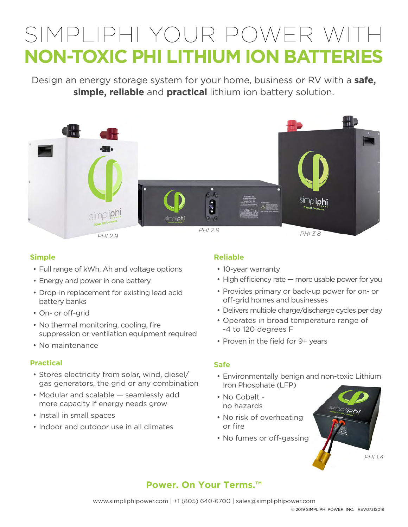# SIMPLIPHI YOUR POWER WITH **NON-TOXIC PHI LITHIUM ION BATTERIES**

Design an energy storage system for your home, business or RV with a **safe, simple, reliable** and **practical** lithium ion battery solution.



## **Simple**

- Full range of kWh, Ah and voltage options
- Energy and power in one battery
- Drop-in replacement for existing lead acid battery banks
- On- or off-grid
- No thermal monitoring, cooling, fire suppression or ventilation equipment required
- No maintenance

## **Practical**

- Stores electricity from solar, wind, diesel/ gas generators, the grid or any combination
- Modular and scalable seamlessly add more capacity if energy needs grow
- Install in small spaces
- Indoor and outdoor use in all climates

## **Reliable**

- 10-year warranty
- High efficiency rate more usable power for you
- Provides primary or back-up power for on- or off-grid homes and businesses
- Delivers multiple charge/discharge cycles per day
- Operates in broad temperature range of -4 to 120 degrees F
- Proven in the field for 9+ years

#### **Safe**

- Environmentally benign and non-toxic Lithium Iron Phosphate (LFP)
- No Cobalt no hazards
- No risk of overheating or fire
- No fumes or off-gassing



# **Power. On Your Terms.™**